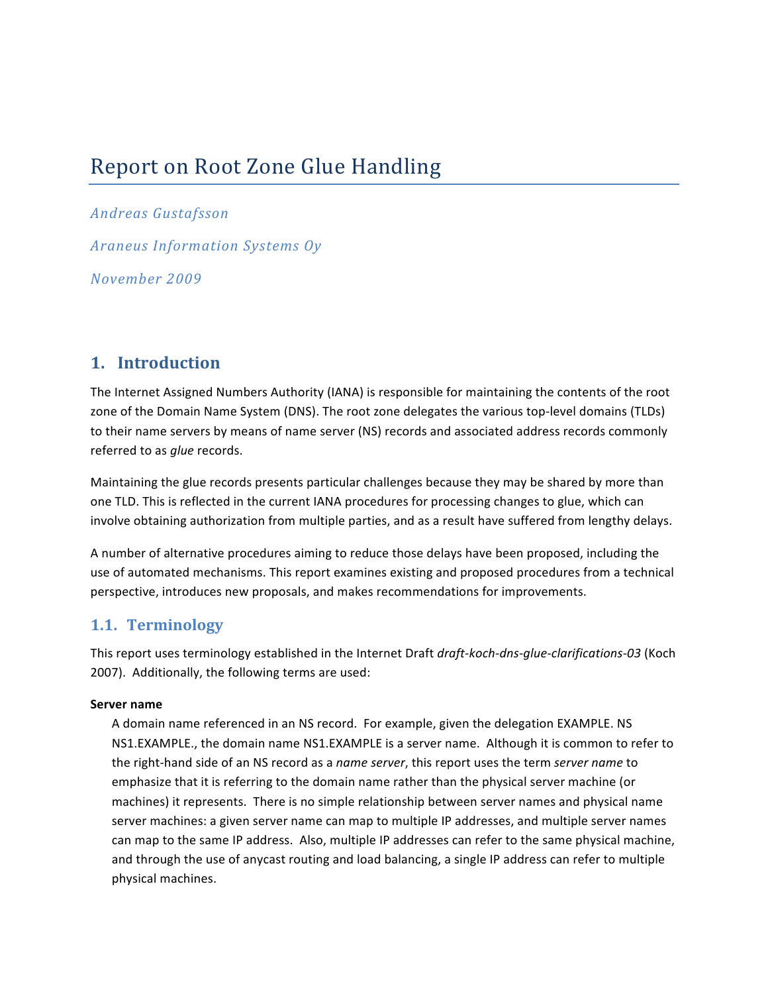# Report on Root Zone Glue Handling

**Andreas Gustafsson Araneus Information Systems Oy** November 2009

### 1. Introduction

The Internet Assigned Numbers Authority (IANA) is responsible for maintaining the contents of the root zone of the Domain Name System (DNS). The root zone delegates the various top-level domains (TLDs) to their name servers by means of name server (NS) records and associated address records commonly referred to as *glue* records.

Maintaining the glue records presents particular challenges because they may be shared by more than one TLD. This is reflected in the current IANA procedures for processing changes to glue, which can involve obtaining authorization from multiple parties, and as a result have suffered from lengthy delays.

A number of alternative procedures aiming to reduce those delays have been proposed, including the use of automated mechanisms. This report examines existing and proposed procedures from a technical perspective, introduces new proposals, and makes recommendations for improvements.

### 1.1. Terminology

This report uses terminology established in the Internet Draft draft-koch-dns-glue-clarifications-03 (Koch 2007). Additionally, the following terms are used:

#### Server name

A domain name referenced in an NS record. For example, given the delegation EXAMPLE. NS NS1.EXAMPLE., the domain name NS1.EXAMPLE is a server name. Although it is common to refer to the right-hand side of an NS record as a name server, this report uses the term server name to emphasize that it is referring to the domain name rather than the physical server machine (or machines) it represents. There is no simple relationship between server names and physical name server machines: a given server name can map to multiple IP addresses, and multiple server names can map to the same IP address. Also, multiple IP addresses can refer to the same physical machine, and through the use of anycast routing and load balancing, a single IP address can refer to multiple physical machines.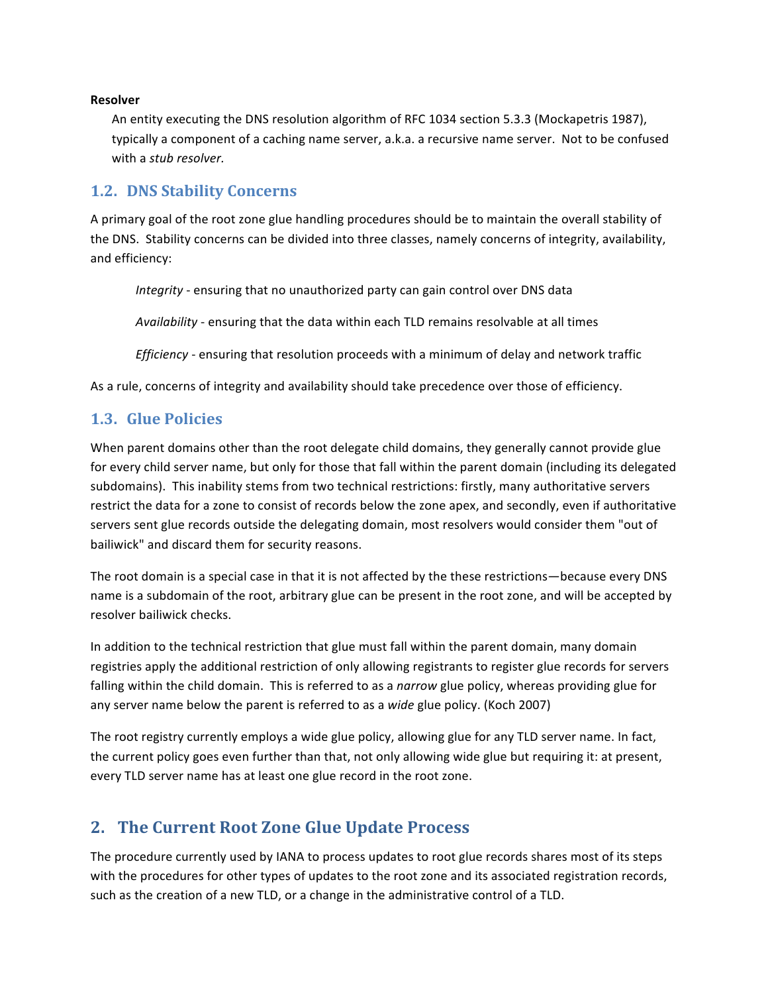#### **Resolver**

An entity executing the DNS resolution algorithm of RFC 1034 section 5.3.3 (Mockapetris 1987), typically a component of a caching name server, a.k.a. a recursive name server. Not to be confused with a stub resolver.

#### **1.2. DNS Stability Concerns**

A primary goal of the root zone glue handling procedures should be to maintain the overall stability of the DNS. Stability concerns can be divided into three classes, namely concerns of integrity, availability, and efficiency:

Integrity - ensuring that no unauthorized party can gain control over DNS data

Availability - ensuring that the data within each TLD remains resolvable at all times

Efficiency - ensuring that resolution proceeds with a minimum of delay and network traffic

As a rule, concerns of integrity and availability should take precedence over those of efficiency.

### **1.3. Glue Policies**

When parent domains other than the root delegate child domains, they generally cannot provide glue for every child server name, but only for those that fall within the parent domain (including its delegated subdomains). This inability stems from two technical restrictions: firstly, many authoritative servers restrict the data for a zone to consist of records below the zone apex, and secondly, even if authoritative servers sent glue records outside the delegating domain, most resolvers would consider them "out of bailiwick" and discard them for security reasons.

The root domain is a special case in that it is not affected by the these restrictions—because every DNS name is a subdomain of the root, arbitrary glue can be present in the root zone, and will be accepted by resolver bailiwick checks.

In addition to the technical restriction that glue must fall within the parent domain, many domain registries apply the additional restriction of only allowing registrants to register glue records for servers falling within the child domain. This is referred to as a narrow glue policy, whereas providing glue for any server name below the parent is referred to as a wide glue policy. (Koch 2007)

The root registry currently employs a wide glue policy, allowing glue for any TLD server name. In fact, the current policy goes even further than that, not only allowing wide glue but requiring it: at present, every TLD server name has at least one glue record in the root zone.

# 2. The Current Root Zone Glue Update Process

The procedure currently used by IANA to process updates to root glue records shares most of its steps with the procedures for other types of updates to the root zone and its associated registration records, such as the creation of a new TLD, or a change in the administrative control of a TLD.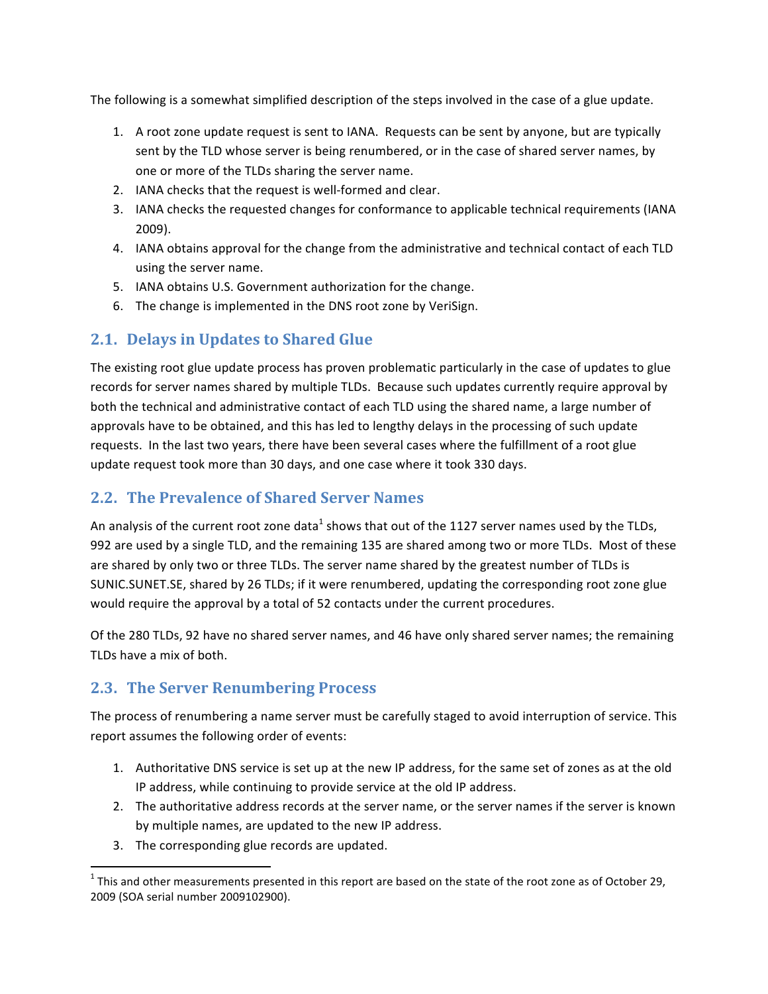The following is a somewhat simplified description of the steps involved in the case of a glue update.

- 1. A root zone update request is sent to IANA. Requests can be sent by anyone, but are typically sent by the TLD whose server is being renumbered, or in the case of shared server names, by one or more of the TLDs sharing the server name.
- 2. IANA checks that the request is well-formed and clear.
- 3. IANA checks the requested changes for conformance to applicable technical requirements (IANA  $2009$ ).
- 4. IANA obtains approval for the change from the administrative and technical contact of each TLD using the server name.
- 5. IANA obtains U.S. Government authorization for the change.
- 6. The change is implemented in the DNS root zone by VeriSign.

# 2.1. Delays in Updates to Shared Glue

The existing root glue update process has proven problematic particularly in the case of updates to glue records for server names shared by multiple TLDs. Because such updates currently require approval by both the technical and administrative contact of each TLD using the shared name, a large number of approvals have to be obtained, and this has led to lengthy delays in the processing of such update requests. In the last two years, there have been several cases where the fulfillment of a root glue update request took more than 30 days, and one case where it took 330 days.

# **2.2. The Prevalence of Shared Server Names**

An analysis of the current root zone data<sup>1</sup> shows that out of the 1127 server names used by the TLDs, 992 are used by a single TLD, and the remaining 135 are shared among two or more TLDs. Most of these are shared by only two or three TLDs. The server name shared by the greatest number of TLDs is SUNIC.SUNET.SE, shared by 26 TLDs; if it were renumbered, updating the corresponding root zone glue would require the approval by a total of 52 contacts under the current procedures.

Of the 280 TLDs, 92 have no shared server names, and 46 have only shared server names; the remaining TLDs have a mix of both.

# **2.3. The Server Renumbering Process**

The process of renumbering a name server must be carefully staged to avoid interruption of service. This report assumes the following order of events:

- 1. Authoritative DNS service is set up at the new IP address, for the same set of zones as at the old IP address, while continuing to provide service at the old IP address.
- 2. The authoritative address records at the server name, or the server names if the server is known by multiple names, are updated to the new IP address.
- 3. The corresponding glue records are updated.

 $1$  This and other measurements presented in this report are based on the state of the root zone as of October 29, 2009 (SOA serial number 2009102900).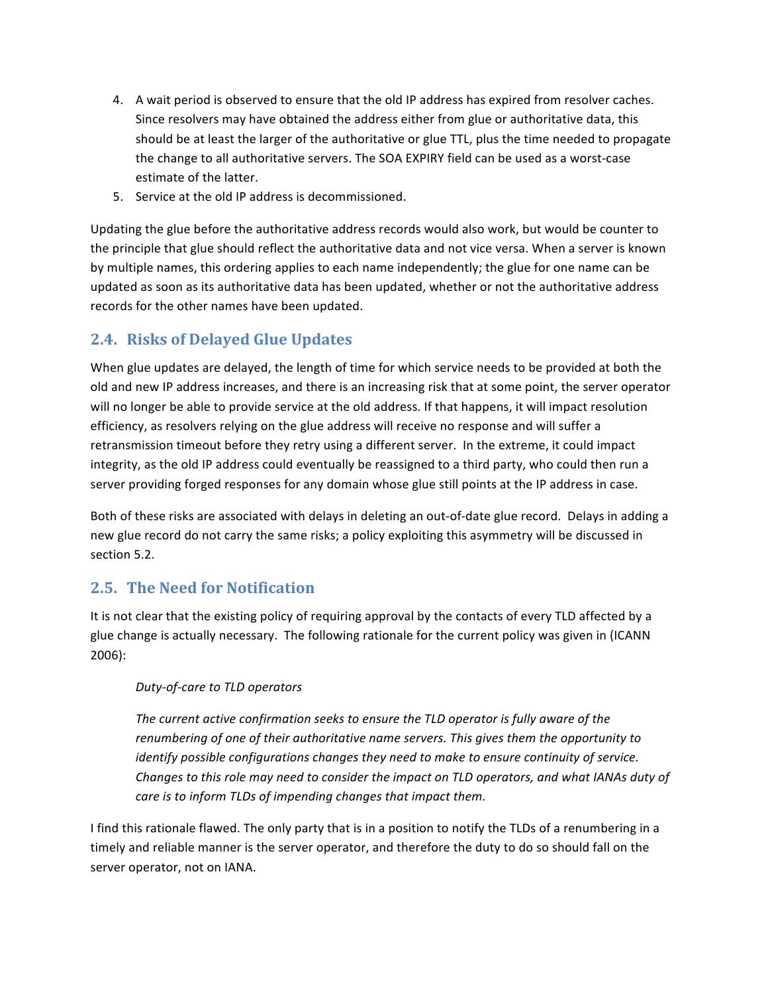- 4. A wait period is observed to ensure that the old IP address has expired from resolver caches. Since resolvers may have obtained the address either from glue or authoritative data, this should be at least the larger of the authoritative or glue TTL, plus the time needed to propagate the change to all authoritative servers. The SOA EXPIRY field can be used as a worst-case estimate of the latter.
- 5. Service at the old IP address is decommissioned.

Updating the glue before the authoritative address records would also work, but would be counter to the principle that glue should reflect the authoritative data and not vice versa. When a server is known by multiple names, this ordering applies to each name independently; the glue for one name can be updated as soon as its authoritative data has been updated, whether or not the authoritative address records for the other names have been updated.

### **2.4. Risks of Delayed Glue Updates**

When glue updates are delayed, the length of time for which service needs to be provided at both the old and new IP address increases, and there is an increasing risk that at some point, the server operator will no longer be able to provide service at the old address. If that happens, it will impact resolution efficiency, as resolvers relying on the glue address will receive no response and will suffer a retransmission timeout before they retry using a different server. In the extreme, it could impact integrity, as the old IP address could eventually be reassigned to a third party, who could then run a server providing forged responses for any domain whose glue still points at the IP address in case.

Both of these risks are associated with delays in deleting an out-of-date glue record. Delays in adding a new glue record do not carry the same risks; a policy exploiting this asymmetry will be discussed in section 5.2.

### 2.5. The Need for Notification

It is not clear that the existing policy of requiring approval by the contacts of every TLD affected by a glue change is actually necessary. The following rationale for the current policy was given in (ICANN  $2006$ :

#### Duty-of-care to TLD operators

The current active confirmation seeks to ensure the TLD operator is fully aware of the renumbering of one of their authoritative name servers. This gives them the opportunity to identify possible configurations changes they need to make to ensure continuity of service. Changes to this role may need to consider the impact on TLD operators, and what IANAs duty of care is to inform TLDs of impending changes that impact them.

I find this rationale flawed. The only party that is in a position to notify the TLDs of a renumbering in a timely and reliable manner is the server operator, and therefore the duty to do so should fall on the server operator, not on IANA.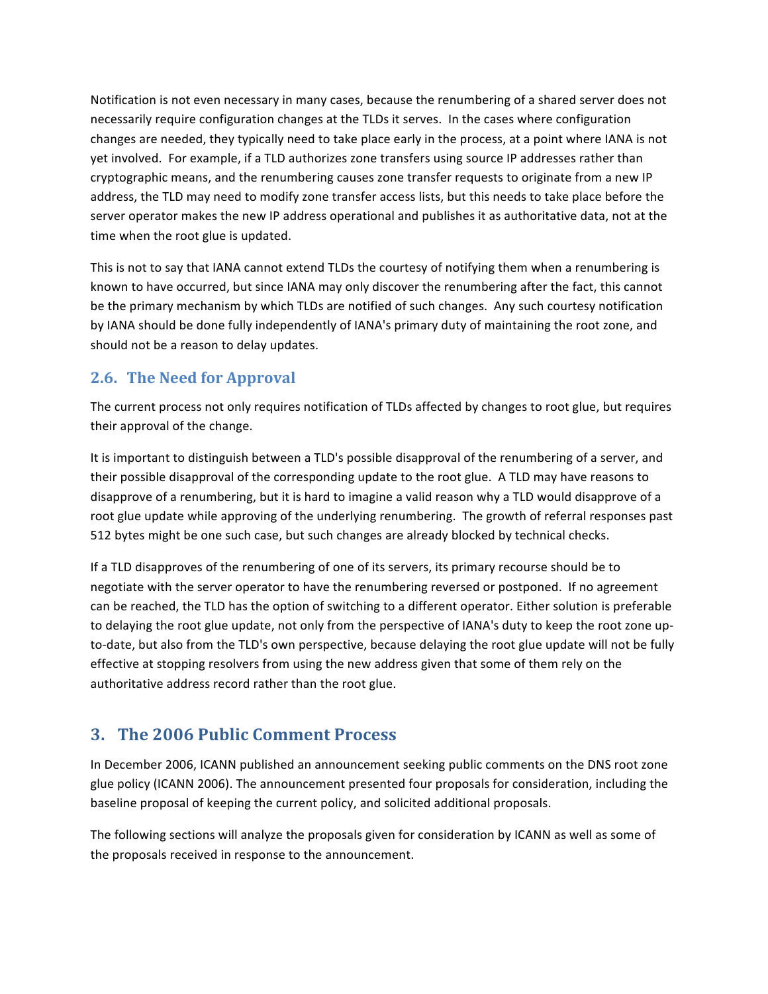Notification is not even necessary in many cases, because the renumbering of a shared server does not necessarily require configuration changes at the TLDs it serves. In the cases where configuration changes are needed, they typically need to take place early in the process, at a point where IANA is not yet involved. For example, if a TLD authorizes zone transfers using source IP addresses rather than cryptographic means, and the renumbering causes zone transfer requests to originate from a new IP address, the TLD may need to modify zone transfer access lists, but this needs to take place before the server operator makes the new IP address operational and publishes it as authoritative data, not at the time when the root glue is updated.

This is not to say that IANA cannot extend TLDs the courtesy of notifying them when a renumbering is known to have occurred, but since IANA may only discover the renumbering after the fact, this cannot be the primary mechanism by which TLDs are notified of such changes. Any such courtesy notification by IANA should be done fully independently of IANA's primary duty of maintaining the root zone, and should not be a reason to delay updates.

### 2.6. The Need for Approval

The current process not only requires notification of TLDs affected by changes to root glue, but requires their approval of the change.

It is important to distinguish between a TLD's possible disapproval of the renumbering of a server, and their possible disapproval of the corresponding update to the root glue. A TLD may have reasons to disapprove of a renumbering, but it is hard to imagine a valid reason why a TLD would disapprove of a root glue update while approving of the underlying renumbering. The growth of referral responses past 512 bytes might be one such case, but such changes are already blocked by technical checks.

If a TLD disapproves of the renumbering of one of its servers, its primary recourse should be to negotiate with the server operator to have the renumbering reversed or postponed. If no agreement can be reached, the TLD has the option of switching to a different operator. Either solution is preferable to delaying the root glue update, not only from the perspective of IANA's duty to keep the root zone upto-date, but also from the TLD's own perspective, because delaying the root glue update will not be fully effective at stopping resolvers from using the new address given that some of them rely on the authoritative address record rather than the root glue.

# 3. The 2006 Public Comment Process

In December 2006, ICANN published an announcement seeking public comments on the DNS root zone glue policy (ICANN 2006). The announcement presented four proposals for consideration, including the baseline proposal of keeping the current policy, and solicited additional proposals.

The following sections will analyze the proposals given for consideration by ICANN as well as some of the proposals received in response to the announcement.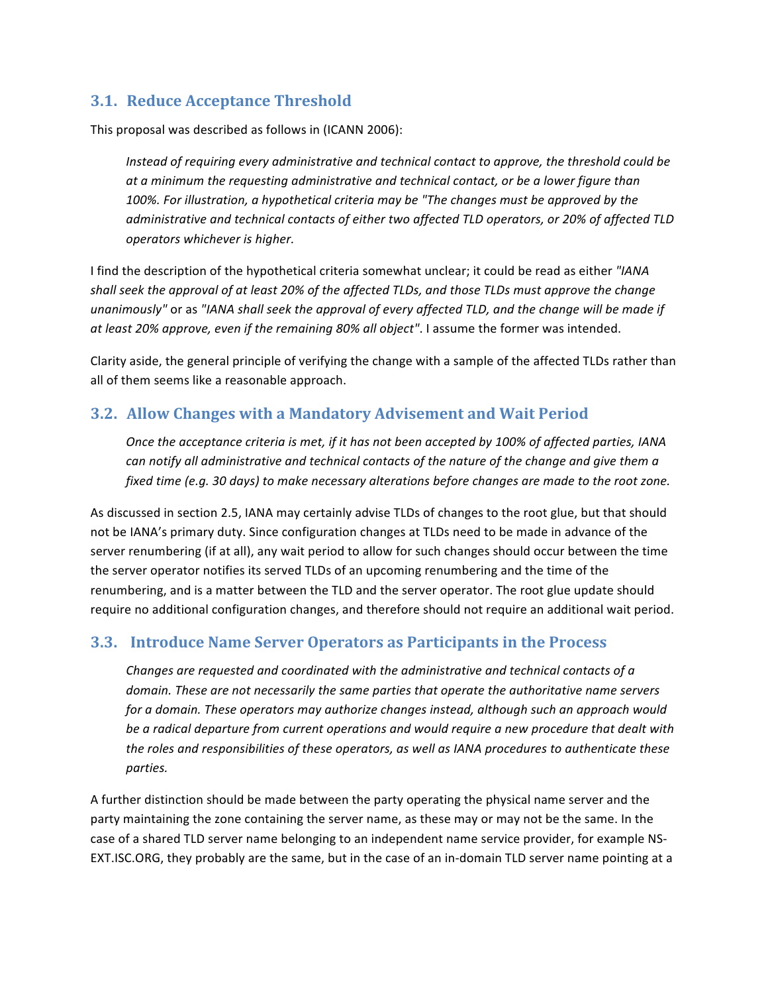### **3.1. Reduce Acceptance Threshold**

This proposal was described as follows in (ICANN 2006):

Instead of requiring every administrative and technical contact to approve, the threshold could be at a minimum the requesting administrative and technical contact, or be a lower figure than 100%. For illustration, a hypothetical criteria may be "The changes must be approved by the administrative and technical contacts of either two affected TLD operators, or 20% of affected TLD operators whichever is higher.

I find the description of the hypothetical criteria somewhat unclear; it could be read as either "IANA shall seek the approval of at least 20% of the affected TLDs, and those TLDs must approve the change unanimously" or as "IANA shall seek the approval of every affected TLD, and the change will be made if at least 20% approve, even if the remaining 80% all object". I assume the former was intended.

Clarity aside, the general principle of verifying the change with a sample of the affected TLDs rather than all of them seems like a reasonable approach.

### 3.2. Allow Changes with a Mandatory Advisement and Wait Period

Once the acceptance criteria is met, if it has not been accepted by 100% of affected parties, IANA can notify all administrative and technical contacts of the nature of the change and give them a fixed time (e.g. 30 days) to make necessary alterations before changes are made to the root zone.

As discussed in section 2.5, IANA may certainly advise TLDs of changes to the root glue, but that should not be IANA's primary duty. Since configuration changes at TLDs need to be made in advance of the server renumbering (if at all), any wait period to allow for such changes should occur between the time the server operator notifies its served TLDs of an upcoming renumbering and the time of the renumbering, and is a matter between the TLD and the server operator. The root glue update should require no additional configuration changes, and therefore should not require an additional wait period.

### 3.3. Introduce Name Server Operators as Participants in the Process

Changes are requested and coordinated with the administrative and technical contacts of a domain. These are not necessarily the same parties that operate the authoritative name servers for a domain. These operators may authorize changes instead, although such an approach would be a radical departure from current operations and would require a new procedure that dealt with the roles and responsibilities of these operators, as well as IANA procedures to authenticate these parties.

A further distinction should be made between the party operating the physical name server and the party maintaining the zone containing the server name, as these may or may not be the same. In the case of a shared TLD server name belonging to an independent name service provider, for example NS-EXT. ISC. ORG, they probably are the same, but in the case of an in-domain TLD server name pointing at a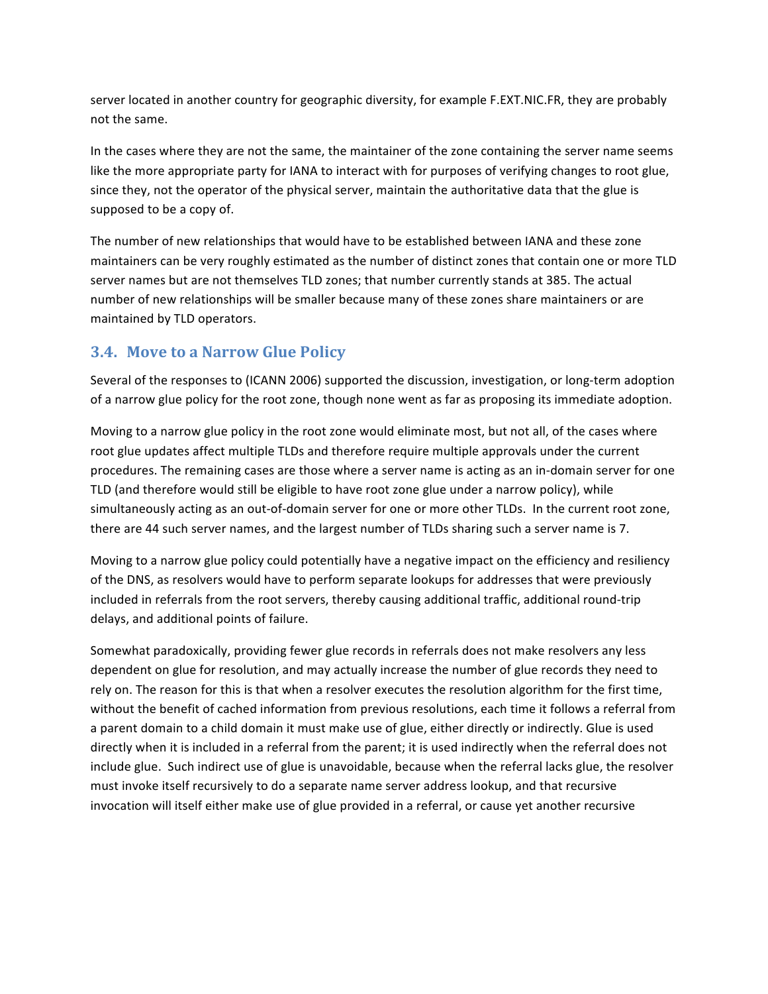server located in another country for geographic diversity, for example F.EXT.NIC.FR, they are probably not the same.

In the cases where they are not the same, the maintainer of the zone containing the server name seems like the more appropriate party for IANA to interact with for purposes of verifying changes to root glue, since they, not the operator of the physical server, maintain the authoritative data that the glue is supposed to be a copy of.

The number of new relationships that would have to be established between IANA and these zone maintainers can be very roughly estimated as the number of distinct zones that contain one or more TLD server names but are not themselves TLD zones; that number currently stands at 385. The actual number of new relationships will be smaller because many of these zones share maintainers or are maintained by TLD operators.

### 3.4. Move to a Narrow Glue Policy

Several of the responses to (ICANN 2006) supported the discussion, investigation, or long-term adoption of a narrow glue policy for the root zone, though none went as far as proposing its immediate adoption.

Moving to a narrow glue policy in the root zone would eliminate most, but not all, of the cases where root glue updates affect multiple TLDs and therefore require multiple approvals under the current procedures. The remaining cases are those where a server name is acting as an in-domain server for one TLD (and therefore would still be eligible to have root zone glue under a narrow policy), while simultaneously acting as an out-of-domain server for one or more other TLDs. In the current root zone, there are 44 such server names, and the largest number of TLDs sharing such a server name is 7.

Moving to a narrow glue policy could potentially have a negative impact on the efficiency and resiliency of the DNS, as resolvers would have to perform separate lookups for addresses that were previously included in referrals from the root servers, thereby causing additional traffic, additional round-trip delays, and additional points of failure.

Somewhat paradoxically, providing fewer glue records in referrals does not make resolvers any less dependent on glue for resolution, and may actually increase the number of glue records they need to rely on. The reason for this is that when a resolver executes the resolution algorithm for the first time, without the benefit of cached information from previous resolutions, each time it follows a referral from a parent domain to a child domain it must make use of glue, either directly or indirectly. Glue is used directly when it is included in a referral from the parent; it is used indirectly when the referral does not include glue. Such indirect use of glue is unavoidable, because when the referral lacks glue, the resolver must invoke itself recursively to do a separate name server address lookup, and that recursive invocation will itself either make use of glue provided in a referral, or cause yet another recursive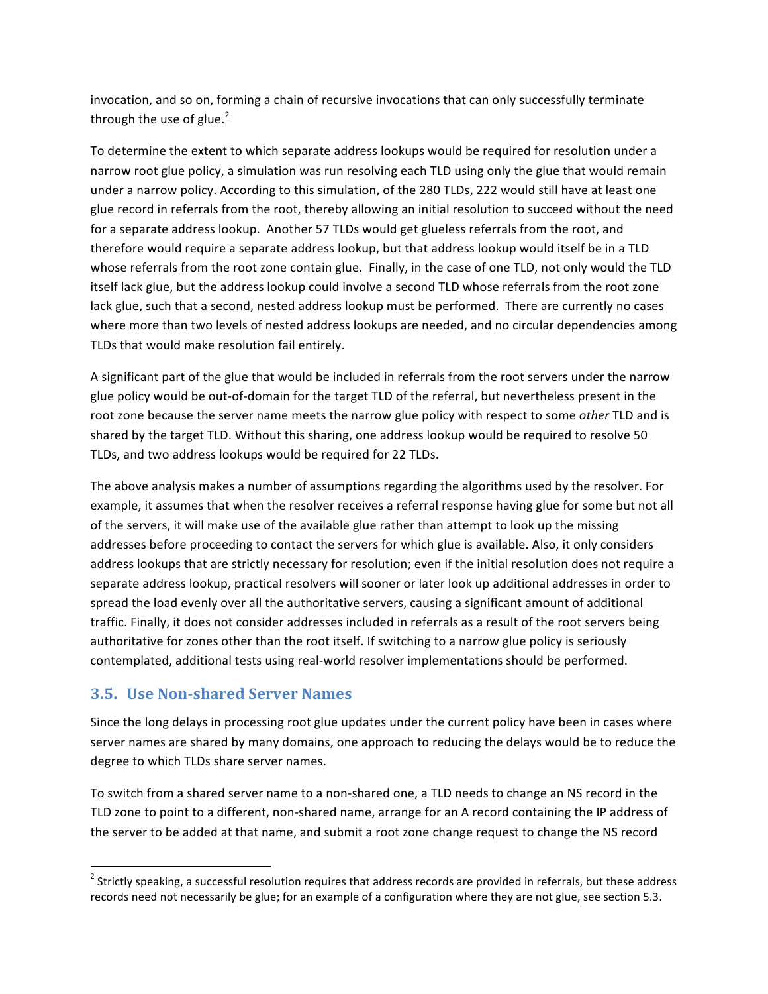invocation, and so on, forming a chain of recursive invocations that can only successfully terminate through the use of glue.<sup>2</sup>

To determine the extent to which separate address lookups would be required for resolution under a narrow root glue policy, a simulation was run resolving each TLD using only the glue that would remain under a narrow policy. According to this simulation, of the 280 TLDs, 222 would still have at least one glue record in referrals from the root, thereby allowing an initial resolution to succeed without the need for a separate address lookup. Another 57 TLDs would get glueless referrals from the root, and therefore would require a separate address lookup, but that address lookup would itself be in a TLD whose referrals from the root zone contain glue. Finally, in the case of one TLD, not only would the TLD itself lack glue, but the address lookup could involve a second TLD whose referrals from the root zone lack glue, such that a second, nested address lookup must be performed. There are currently no cases where more than two levels of nested address lookups are needed, and no circular dependencies among TLDs that would make resolution fail entirely.

A significant part of the glue that would be included in referrals from the root servers under the narrow glue policy would be out-of-domain for the target TLD of the referral, but nevertheless present in the root zone because the server name meets the narrow glue policy with respect to some other TLD and is shared by the target TLD. Without this sharing, one address lookup would be required to resolve 50 TLDs, and two address lookups would be required for 22 TLDs.

The above analysis makes a number of assumptions regarding the algorithms used by the resolver. For example, it assumes that when the resolver receives a referral response having glue for some but not all of the servers, it will make use of the available glue rather than attempt to look up the missing addresses before proceeding to contact the servers for which glue is available. Also, it only considers address lookups that are strictly necessary for resolution; even if the initial resolution does not require a separate address lookup, practical resolvers will sooner or later look up additional addresses in order to spread the load evenly over all the authoritative servers, causing a significant amount of additional traffic. Finally, it does not consider addresses included in referrals as a result of the root servers being authoritative for zones other than the root itself. If switching to a narrow glue policy is seriously contemplated, additional tests using real-world resolver implementations should be performed.

### 3.5. Use Non-shared Server Names

Since the long delays in processing root glue updates under the current policy have been in cases where server names are shared by many domains, one approach to reducing the delays would be to reduce the degree to which TLDs share server names.

To switch from a shared server name to a non-shared one, a TLD needs to change an NS record in the TLD zone to point to a different, non-shared name, arrange for an A record containing the IP address of the server to be added at that name, and submit a root zone change request to change the NS record

<sup>&</sup>lt;sup>2</sup> Strictly speaking, a successful resolution requires that address records are provided in referrals, but these address records need not necessarily be glue; for an example of a configuration where they are not glue, see section 5.3.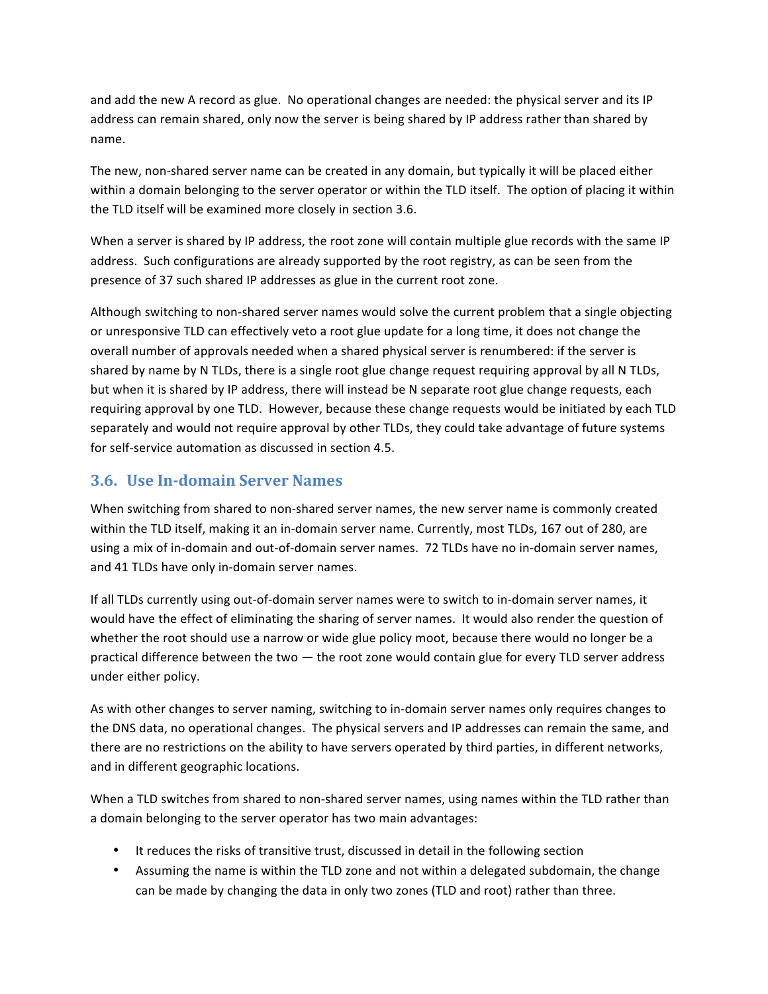and add the new A record as glue. No operational changes are needed: the physical server and its IP address can remain shared, only now the server is being shared by IP address rather than shared by name.

The new, non-shared server name can be created in any domain, but typically it will be placed either within a domain belonging to the server operator or within the TLD itself. The option of placing it within the TLD itself will be examined more closely in section 3.6.

When a server is shared by IP address, the root zone will contain multiple glue records with the same IP address. Such configurations are already supported by the root registry, as can be seen from the presence of 37 such shared IP addresses as glue in the current root zone.

Although switching to non-shared server names would solve the current problem that a single objecting or unresponsive TLD can effectively veto a root glue update for a long time, it does not change the overall number of approvals needed when a shared physical server is renumbered: if the server is shared by name by N TLDs, there is a single root glue change request requiring approval by all N TLDs, but when it is shared by IP address, there will instead be N separate root glue change requests, each requiring approval by one TLD. However, because these change requests would be initiated by each TLD separately and would not require approval by other TLDs, they could take advantage of future systems for self-service automation as discussed in section 4.5.

### 3.6. Use In-domain Server Names

When switching from shared to non-shared server names, the new server name is commonly created within the TLD itself, making it an in-domain server name. Currently, most TLDs, 167 out of 280, are using a mix of in-domain and out-of-domain server names. 72 TLDs have no in-domain server names, and 41 TLDs have only in-domain server names.

If all TLDs currently using out-of-domain server names were to switch to in-domain server names, it would have the effect of eliminating the sharing of server names. It would also render the question of whether the root should use a narrow or wide glue policy moot, because there would no longer be a practical difference between the two  $-$  the root zone would contain glue for every TLD server address under either policy.

As with other changes to server naming, switching to in-domain server names only requires changes to the DNS data, no operational changes. The physical servers and IP addresses can remain the same, and there are no restrictions on the ability to have servers operated by third parties, in different networks, and in different geographic locations.

When a TLD switches from shared to non-shared server names, using names within the TLD rather than a domain belonging to the server operator has two main advantages:

- It reduces the risks of transitive trust, discussed in detail in the following section
- Assuming the name is within the TLD zone and not within a delegated subdomain, the change can be made by changing the data in only two zones (TLD and root) rather than three.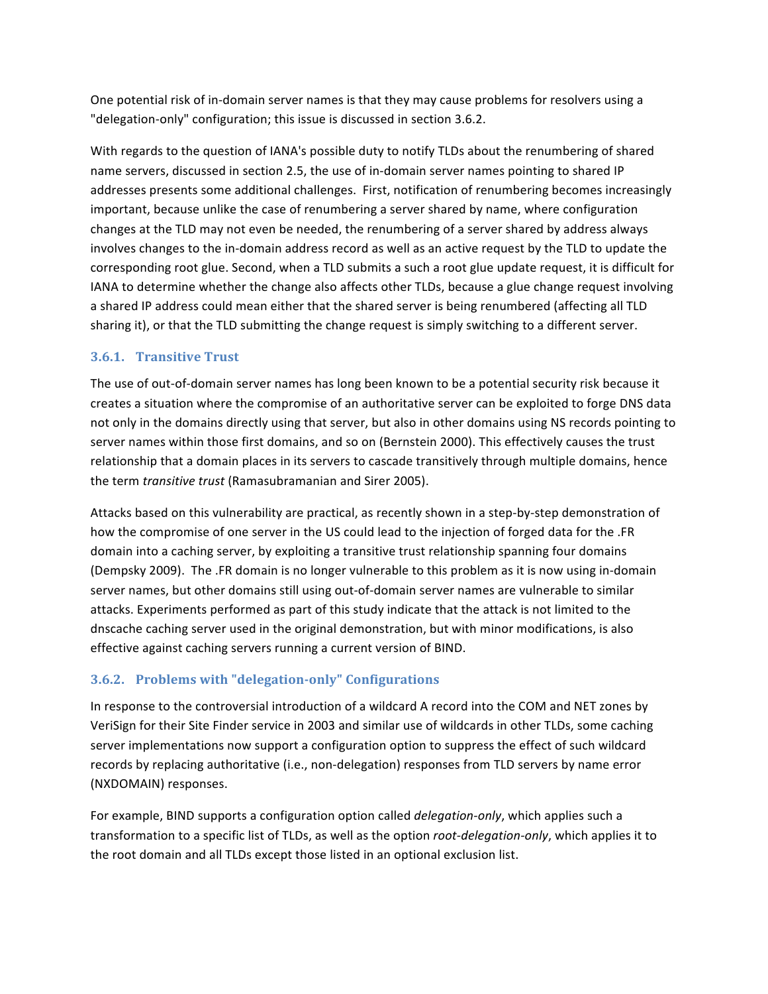One potential risk of in-domain server names is that they may cause problems for resolvers using a "delegation-only" configuration; this issue is discussed in section 3.6.2.

With regards to the question of IANA's possible duty to notify TLDs about the renumbering of shared name servers, discussed in section 2.5, the use of in-domain server names pointing to shared IP addresses presents some additional challenges. First, notification of renumbering becomes increasingly important, because unlike the case of renumbering a server shared by name, where configuration changes at the TLD may not even be needed, the renumbering of a server shared by address always involves changes to the in-domain address record as well as an active request by the TLD to update the corresponding root glue. Second, when a TLD submits a such a root glue update request, it is difficult for IANA to determine whether the change also affects other TLDs, because a glue change request involving a shared IP address could mean either that the shared server is being renumbered (affecting all TLD sharing it), or that the TLD submitting the change request is simply switching to a different server.

#### 3.6.1. Transitive Trust

The use of out-of-domain server names has long been known to be a potential security risk because it creates a situation where the compromise of an authoritative server can be exploited to forge DNS data not only in the domains directly using that server, but also in other domains using NS records pointing to server names within those first domains, and so on (Bernstein 2000). This effectively causes the trust relationship that a domain places in its servers to cascade transitively through multiple domains, hence the term *transitive trust* (Ramasubramanian and Sirer 2005).

Attacks based on this vulnerability are practical, as recently shown in a step-by-step demonstration of how the compromise of one server in the US could lead to the injection of forged data for the .FR domain into a caching server, by exploiting a transitive trust relationship spanning four domains (Dempsky 2009). The .FR domain is no longer vulnerable to this problem as it is now using in-domain server names, but other domains still using out-of-domain server names are vulnerable to similar attacks. Experiments performed as part of this study indicate that the attack is not limited to the dnscache caching server used in the original demonstration, but with minor modifications, is also effective against caching servers running a current version of BIND.

### 3.6.2. Problems with "delegation-only" Configurations

In response to the controversial introduction of a wildcard A record into the COM and NET zones by VeriSign for their Site Finder service in 2003 and similar use of wildcards in other TLDs, some caching server implementations now support a configuration option to suppress the effect of such wildcard records by replacing authoritative (i.e., non-delegation) responses from TLD servers by name error (NXDOMAIN) responses.

For example, BIND supports a configuration option called *delegation-only*, which applies such a transformation to a specific list of TLDs, as well as the option root-delegation-only, which applies it to the root domain and all TLDs except those listed in an optional exclusion list.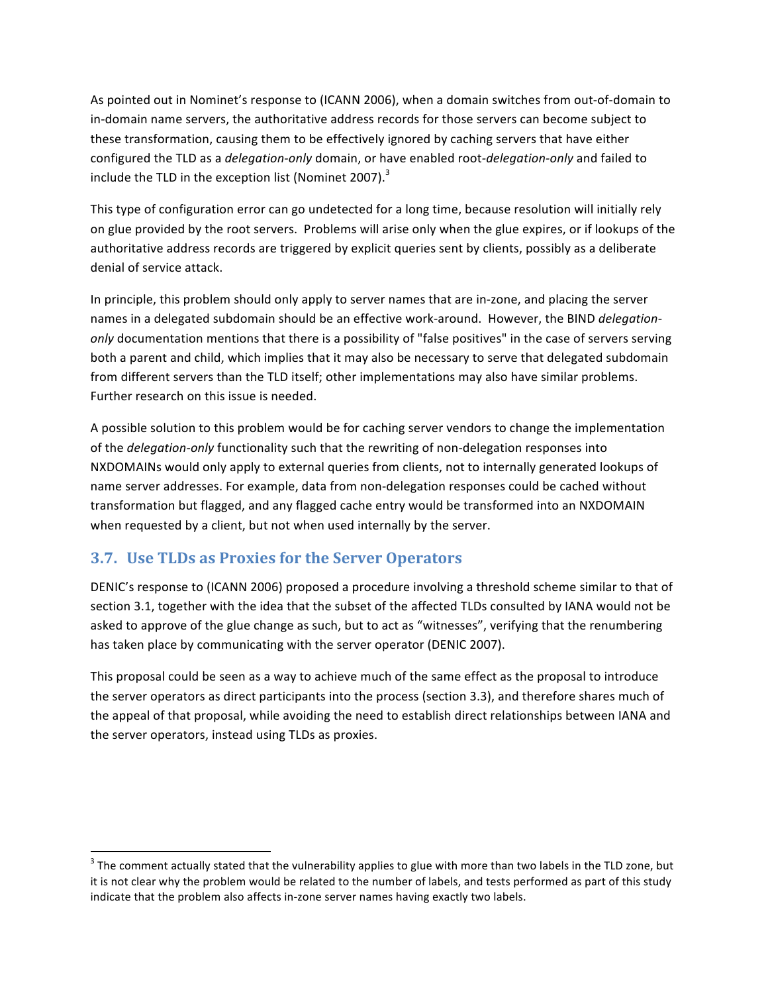As pointed out in Nominet's response to (ICANN 2006), when a domain switches from out-of-domain to in-domain name servers, the authoritative address records for those servers can become subject to these transformation, causing them to be effectively ignored by caching servers that have either configured the TLD as a *delegation-only* domain, or have enabled root-*delegation-only* and failed to include the TLD in the exception list (Nominet 2007).<sup>3</sup>

This type of configuration error can go undetected for a long time, because resolution will initially rely on glue provided by the root servers. Problems will arise only when the glue expires, or if lookups of the authoritative address records are triggered by explicit queries sent by clients, possibly as a deliberate denial of service attack.

In principle, this problem should only apply to server names that are in-zone, and placing the server names in a delegated subdomain should be an effective work-around. However, the BIND delegationonly documentation mentions that there is a possibility of "false positives" in the case of servers serving both a parent and child, which implies that it may also be necessary to serve that delegated subdomain from different servers than the TLD itself; other implementations may also have similar problems. Further research on this issue is needed.

A possible solution to this problem would be for caching server vendors to change the implementation of the delegation-only functionality such that the rewriting of non-delegation responses into NXDOMAINs would only apply to external queries from clients, not to internally generated lookups of name server addresses. For example, data from non-delegation responses could be cached without transformation but flagged, and any flagged cache entry would be transformed into an NXDOMAIN when requested by a client, but not when used internally by the server.

### 3.7. Use TLDs as Proxies for the Server Operators

DENIC's response to (ICANN 2006) proposed a procedure involving a threshold scheme similar to that of section 3.1, together with the idea that the subset of the affected TLDs consulted by IANA would not be asked to approve of the glue change as such, but to act as "witnesses", verifying that the renumbering has taken place by communicating with the server operator (DENIC 2007).

This proposal could be seen as a way to achieve much of the same effect as the proposal to introduce the server operators as direct participants into the process (section 3.3), and therefore shares much of the appeal of that proposal, while avoiding the need to establish direct relationships between IANA and the server operators, instead using TLDs as proxies.

<sup>&</sup>lt;sup>3</sup> The comment actually stated that the vulnerability applies to glue with more than two labels in the TLD zone, but it is not clear why the problem would be related to the number of labels, and tests performed as part of this study indicate that the problem also affects in-zone server names having exactly two labels.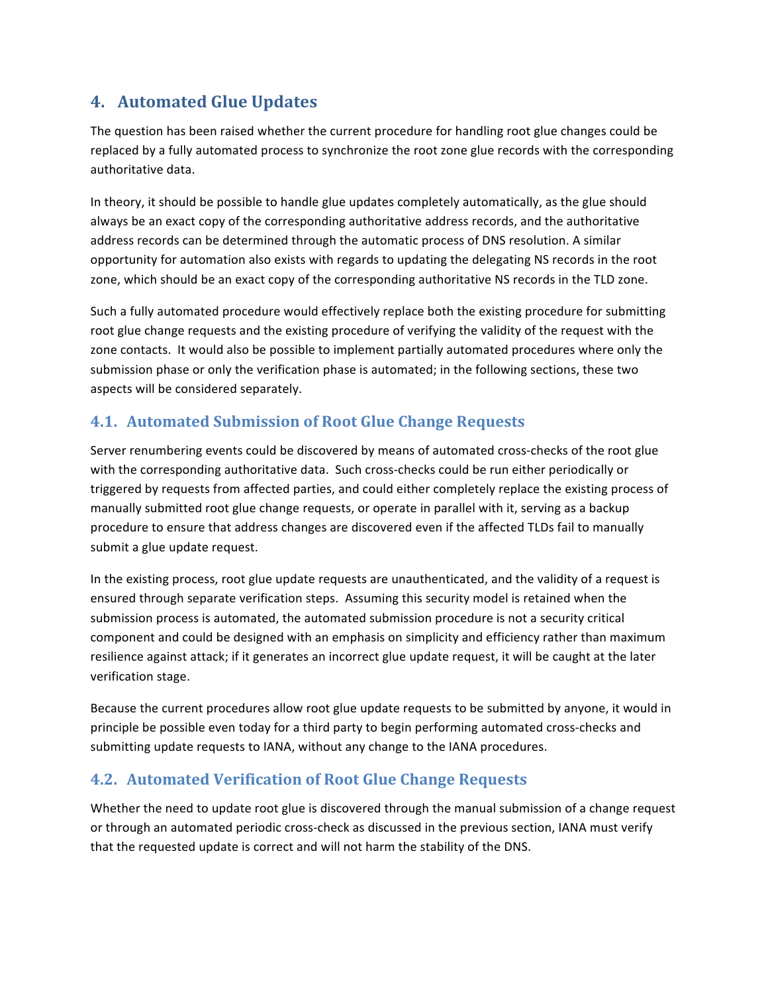# 4. Automated Glue Updates

The question has been raised whether the current procedure for handling root glue changes could be replaced by a fully automated process to synchronize the root zone glue records with the corresponding authoritative data.

In theory, it should be possible to handle glue updates completely automatically, as the glue should always be an exact copy of the corresponding authoritative address records, and the authoritative address records can be determined through the automatic process of DNS resolution. A similar opportunity for automation also exists with regards to updating the delegating NS records in the root zone, which should be an exact copy of the corresponding authoritative NS records in the TLD zone.

Such a fully automated procedure would effectively replace both the existing procedure for submitting root glue change requests and the existing procedure of verifying the validity of the request with the zone contacts. It would also be possible to implement partially automated procedures where only the submission phase or only the verification phase is automated; in the following sections, these two aspects will be considered separately.

# 4.1. Automated Submission of Root Glue Change Requests

Server renumbering events could be discovered by means of automated cross-checks of the root glue with the corresponding authoritative data. Such cross-checks could be run either periodically or triggered by requests from affected parties, and could either completely replace the existing process of manually submitted root glue change requests, or operate in parallel with it, serving as a backup procedure to ensure that address changes are discovered even if the affected TLDs fail to manually submit a glue update request.

In the existing process, root glue update requests are unauthenticated, and the validity of a request is ensured through separate verification steps. Assuming this security model is retained when the submission process is automated, the automated submission procedure is not a security critical component and could be designed with an emphasis on simplicity and efficiency rather than maximum resilience against attack; if it generates an incorrect glue update request, it will be caught at the later verification stage.

Because the current procedures allow root glue update requests to be submitted by anyone, it would in principle be possible even today for a third party to begin performing automated cross-checks and submitting update requests to IANA, without any change to the IANA procedures.

# 4.2. Automated Verification of Root Glue Change Requests

Whether the need to update root glue is discovered through the manual submission of a change request or through an automated periodic cross-check as discussed in the previous section, IANA must verify that the requested update is correct and will not harm the stability of the DNS.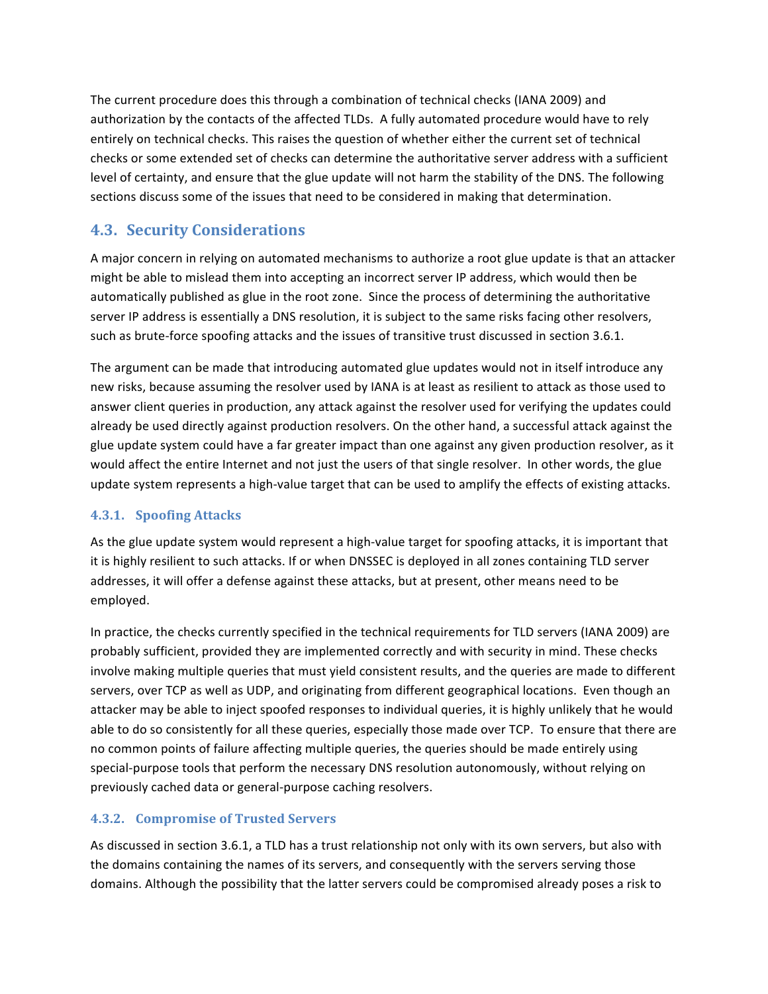The current procedure does this through a combination of technical checks (IANA 2009) and authorization by the contacts of the affected TLDs. A fully automated procedure would have to rely entirely on technical checks. This raises the question of whether either the current set of technical checks or some extended set of checks can determine the authoritative server address with a sufficient level of certainty, and ensure that the glue update will not harm the stability of the DNS. The following sections discuss some of the issues that need to be considered in making that determination.

# **4.3. Security Considerations**

A major concern in relying on automated mechanisms to authorize a root glue update is that an attacker might be able to mislead them into accepting an incorrect server IP address, which would then be automatically published as glue in the root zone. Since the process of determining the authoritative server IP address is essentially a DNS resolution, it is subject to the same risks facing other resolvers, such as brute-force spoofing attacks and the issues of transitive trust discussed in section 3.6.1.

The argument can be made that introducing automated glue updates would not in itself introduce any new risks, because assuming the resolver used by IANA is at least as resilient to attack as those used to answer client queries in production, any attack against the resolver used for verifying the updates could already be used directly against production resolvers. On the other hand, a successful attack against the glue update system could have a far greater impact than one against any given production resolver, as it would affect the entire Internet and not just the users of that single resolver. In other words, the glue update system represents a high-value target that can be used to amplify the effects of existing attacks.

### 4.3.1. Spoofing Attacks

As the glue update system would represent a high-value target for spoofing attacks, it is important that it is highly resilient to such attacks. If or when DNSSEC is deployed in all zones containing TLD server addresses, it will offer a defense against these attacks, but at present, other means need to be employed.

In practice, the checks currently specified in the technical requirements for TLD servers (IANA 2009) are probably sufficient, provided they are implemented correctly and with security in mind. These checks involve making multiple queries that must yield consistent results, and the queries are made to different servers, over TCP as well as UDP, and originating from different geographical locations. Even though an attacker may be able to inject spoofed responses to individual queries, it is highly unlikely that he would able to do so consistently for all these queries, especially those made over TCP. To ensure that there are no common points of failure affecting multiple queries, the queries should be made entirely using special-purpose tools that perform the necessary DNS resolution autonomously, without relying on previously cached data or general-purpose caching resolvers.

### 4.3.2. Compromise of Trusted Servers

As discussed in section 3.6.1, a TLD has a trust relationship not only with its own servers, but also with the domains containing the names of its servers, and consequently with the servers serving those domains. Although the possibility that the latter servers could be compromised already poses a risk to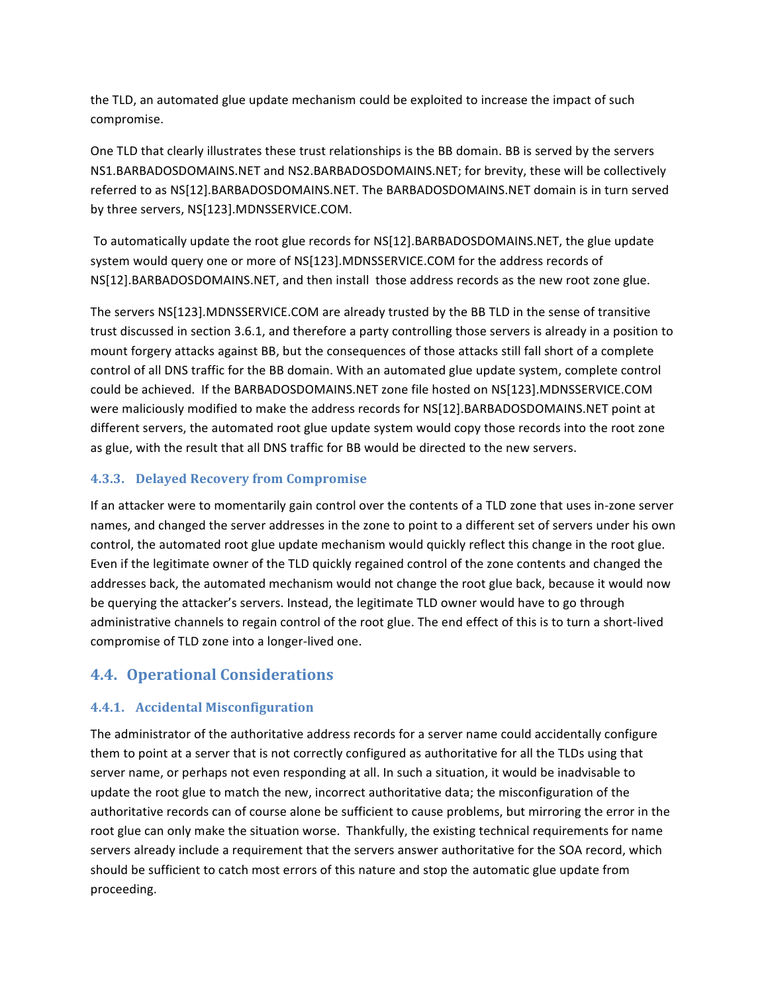the TLD, an automated glue update mechanism could be exploited to increase the impact of such compromise.

One TLD that clearly illustrates these trust relationships is the BB domain. BB is served by the servers NS1.BARBADOSDOMAINS.NET and NS2.BARBADOSDOMAINS.NET; for brevity, these will be collectively referred to as NS[12].BARBADOSDOMAINS.NET. The BARBADOSDOMAINS.NET domain is in turn served by three servers, NS[123].MDNSSERVICE.COM.

To automatically update the root glue records for NS[12].BARBADOSDOMAINS.NET, the glue update system would query one or more of NS[123].MDNSSERVICE.COM for the address records of NS[12].BARBADOSDOMAINS.NET, and then install those address records as the new root zone glue.

The servers NS[123]. MDNSSERVICE.COM are already trusted by the BB TLD in the sense of transitive trust discussed in section 3.6.1, and therefore a party controlling those servers is already in a position to mount forgery attacks against BB, but the consequences of those attacks still fall short of a complete control of all DNS traffic for the BB domain. With an automated glue update system, complete control could be achieved. If the BARBADOSDOMAINS.NET zone file hosted on NS[123].MDNSSERVICE.COM were maliciously modified to make the address records for NS[12].BARBADOSDOMAINS.NET point at different servers, the automated root glue update system would copy those records into the root zone as glue, with the result that all DNS traffic for BB would be directed to the new servers.

#### 4.3.3. Delayed Recovery from Compromise

If an attacker were to momentarily gain control over the contents of a TLD zone that uses in-zone server names, and changed the server addresses in the zone to point to a different set of servers under his own control, the automated root glue update mechanism would quickly reflect this change in the root glue. Even if the legitimate owner of the TLD quickly regained control of the zone contents and changed the addresses back, the automated mechanism would not change the root glue back, because it would now be querying the attacker's servers. Instead, the legitimate TLD owner would have to go through administrative channels to regain control of the root glue. The end effect of this is to turn a short-lived compromise of TLD zone into a longer-lived one.

### **4.4. Operational Considerations**

### 4.4.1. Accidental Misconfiguration

The administrator of the authoritative address records for a server name could accidentally configure them to point at a server that is not correctly configured as authoritative for all the TLDs using that server name, or perhaps not even responding at all. In such a situation, it would be inadvisable to update the root glue to match the new, incorrect authoritative data; the misconfiguration of the authoritative records can of course alone be sufficient to cause problems, but mirroring the error in the root glue can only make the situation worse. Thankfully, the existing technical requirements for name servers already include a requirement that the servers answer authoritative for the SOA record, which should be sufficient to catch most errors of this nature and stop the automatic glue update from proceeding.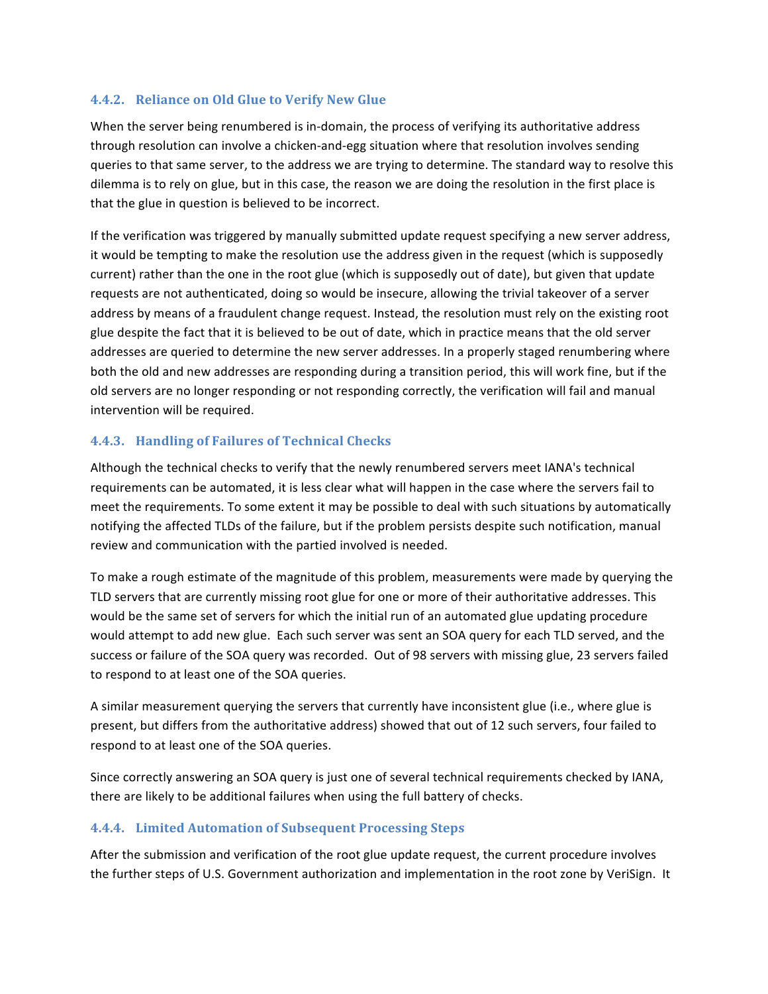#### 4.4.2. Reliance on Old Glue to Verify New Glue

When the server being renumbered is in-domain, the process of verifying its authoritative address through resolution can involve a chicken-and-egg situation where that resolution involves sending queries to that same server, to the address we are trying to determine. The standard way to resolve this dilemma is to rely on glue, but in this case, the reason we are doing the resolution in the first place is that the glue in question is believed to be incorrect.

If the verification was triggered by manually submitted update request specifying a new server address, it would be tempting to make the resolution use the address given in the request (which is supposedly current) rather than the one in the root glue (which is supposedly out of date), but given that update requests are not authenticated, doing so would be insecure, allowing the trivial takeover of a server address by means of a fraudulent change request. Instead, the resolution must rely on the existing root glue despite the fact that it is believed to be out of date, which in practice means that the old server addresses are queried to determine the new server addresses. In a properly staged renumbering where both the old and new addresses are responding during a transition period, this will work fine, but if the old servers are no longer responding or not responding correctly, the verification will fail and manual intervention will be required.

#### 4.4.3. Handling of Failures of Technical Checks

Although the technical checks to verify that the newly renumbered servers meet IANA's technical requirements can be automated, it is less clear what will happen in the case where the servers fail to meet the requirements. To some extent it may be possible to deal with such situations by automatically notifying the affected TLDs of the failure, but if the problem persists despite such notification, manual review and communication with the partied involved is needed.

To make a rough estimate of the magnitude of this problem, measurements were made by querying the TLD servers that are currently missing root glue for one or more of their authoritative addresses. This would be the same set of servers for which the initial run of an automated glue updating procedure would attempt to add new glue. Each such server was sent an SOA query for each TLD served, and the success or failure of the SOA query was recorded. Out of 98 servers with missing glue, 23 servers failed to respond to at least one of the SOA queries.

A similar measurement querying the servers that currently have inconsistent glue (i.e., where glue is present, but differs from the authoritative address) showed that out of 12 such servers, four failed to respond to at least one of the SOA queries.

Since correctly answering an SOA query is just one of several technical requirements checked by IANA, there are likely to be additional failures when using the full battery of checks.

#### 4.4.4. Limited Automation of Subsequent Processing Steps

After the submission and verification of the root glue update request, the current procedure involves the further steps of U.S. Government authorization and implementation in the root zone by VeriSign. It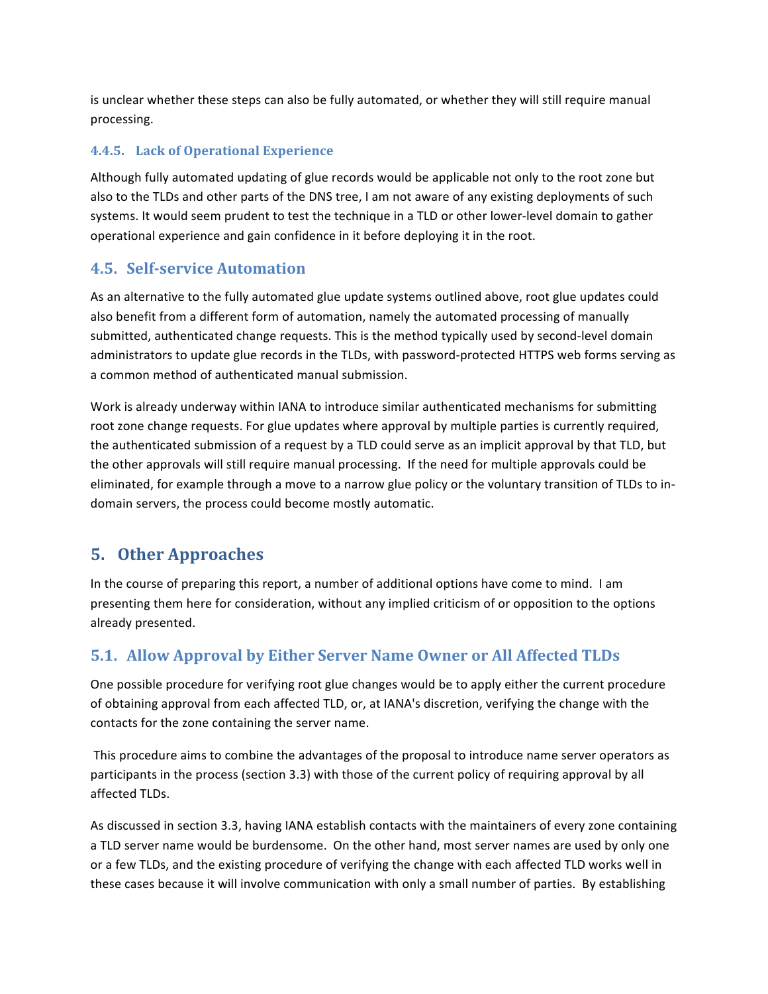is unclear whether these steps can also be fully automated, or whether they will still require manual processing.

### 4.4.5. Lack of Operational Experience

Although fully automated updating of glue records would be applicable not only to the root zone but also to the TLDs and other parts of the DNS tree, I am not aware of any existing deployments of such systems. It would seem prudent to test the technique in a TLD or other lower-level domain to gather operational experience and gain confidence in it before deploying it in the root.

### **4.5. Self-service Automation**

As an alternative to the fully automated glue update systems outlined above, root glue updates could also benefit from a different form of automation, namely the automated processing of manually submitted, authenticated change requests. This is the method typically used by second-level domain administrators to update glue records in the TLDs, with password-protected HTTPS web forms serving as a common method of authenticated manual submission.

Work is already underway within IANA to introduce similar authenticated mechanisms for submitting root zone change requests. For glue updates where approval by multiple parties is currently required, the authenticated submission of a request by a TLD could serve as an implicit approval by that TLD, but the other approvals will still require manual processing. If the need for multiple approvals could be eliminated, for example through a move to a narrow glue policy or the voluntary transition of TLDs to indomain servers, the process could become mostly automatic.

# **5. Other Approaches**

In the course of preparing this report, a number of additional options have come to mind. I am presenting them here for consideration, without any implied criticism of or opposition to the options already presented.

# 5.1. Allow Approval by Either Server Name Owner or All Affected TLDs

One possible procedure for verifying root glue changes would be to apply either the current procedure of obtaining approval from each affected TLD, or, at IANA's discretion, verifying the change with the contacts for the zone containing the server name.

This procedure aims to combine the advantages of the proposal to introduce name server operators as participants in the process (section 3.3) with those of the current policy of requiring approval by all affected TLDs.

As discussed in section 3.3, having IANA establish contacts with the maintainers of every zone containing a TLD server name would be burdensome. On the other hand, most server names are used by only one or a few TLDs, and the existing procedure of verifying the change with each affected TLD works well in these cases because it will involve communication with only a small number of parties. By establishing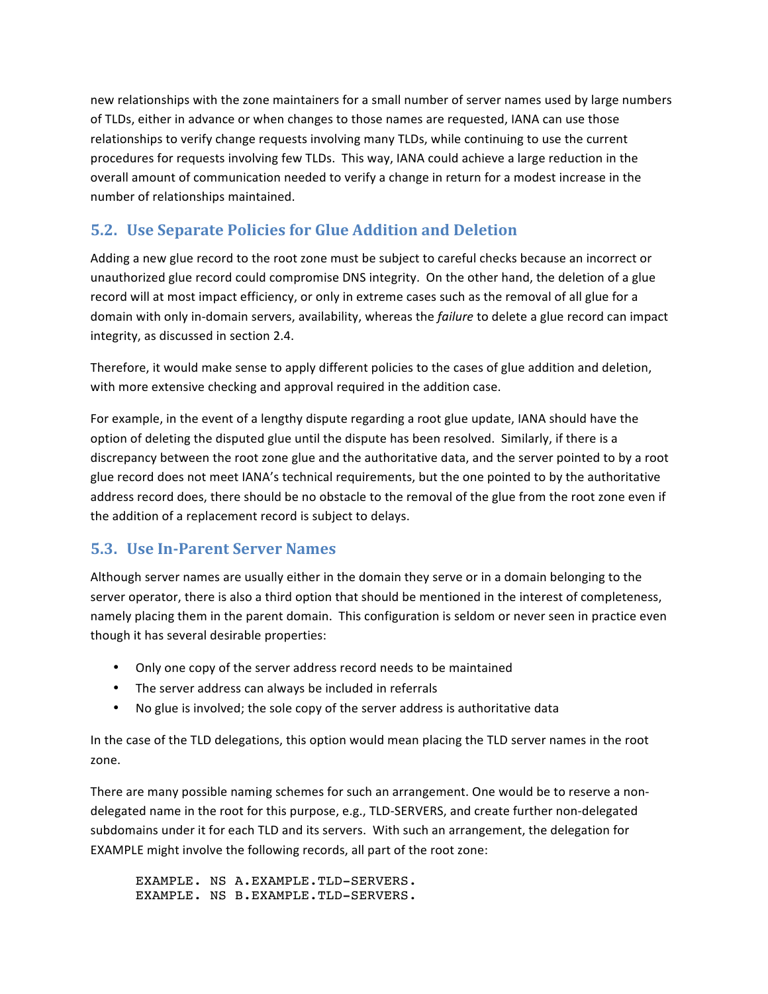new relationships with the zone maintainers for a small number of server names used by large numbers of TLDs, either in advance or when changes to those names are requested, IANA can use those relationships to verify change requests involving many TLDs, while continuing to use the current procedures for requests involving few TLDs. This way, IANA could achieve a large reduction in the overall amount of communication needed to verify a change in return for a modest increase in the number of relationships maintained.

# 5.2. Use Separate Policies for Glue Addition and Deletion

Adding a new glue record to the root zone must be subject to careful checks because an incorrect or unauthorized glue record could compromise DNS integrity. On the other hand, the deletion of a glue record will at most impact efficiency, or only in extreme cases such as the removal of all glue for a domain with only in-domain servers, availability, whereas the failure to delete a glue record can impact integrity, as discussed in section 2.4.

Therefore, it would make sense to apply different policies to the cases of glue addition and deletion, with more extensive checking and approval required in the addition case.

For example, in the event of a lengthy dispute regarding a root glue update, IANA should have the option of deleting the disputed glue until the dispute has been resolved. Similarly, if there is a discrepancy between the root zone glue and the authoritative data, and the server pointed to by a root glue record does not meet IANA's technical requirements, but the one pointed to by the authoritative address record does, there should be no obstacle to the removal of the glue from the root zone even if the addition of a replacement record is subject to delays.

### **5.3. Use In-Parent Server Names**

Although server names are usually either in the domain they serve or in a domain belonging to the server operator, there is also a third option that should be mentioned in the interest of completeness, namely placing them in the parent domain. This configuration is seldom or never seen in practice even though it has several desirable properties:

- Only one copy of the server address record needs to be maintained
- The server address can always be included in referrals
- No glue is involved; the sole copy of the server address is authoritative data

In the case of the TLD delegations, this option would mean placing the TLD server names in the root zone.

There are many possible naming schemes for such an arrangement. One would be to reserve a nondelegated name in the root for this purpose, e.g., TLD-SERVERS, and create further non-delegated subdomains under it for each TLD and its servers. With such an arrangement, the delegation for EXAMPLE might involve the following records, all part of the root zone:

EXAMPLE. NS A.EXAMPLE.TLD-SERVERS. EXAMPLE. NS B.EXAMPLE.TLD-SERVERS.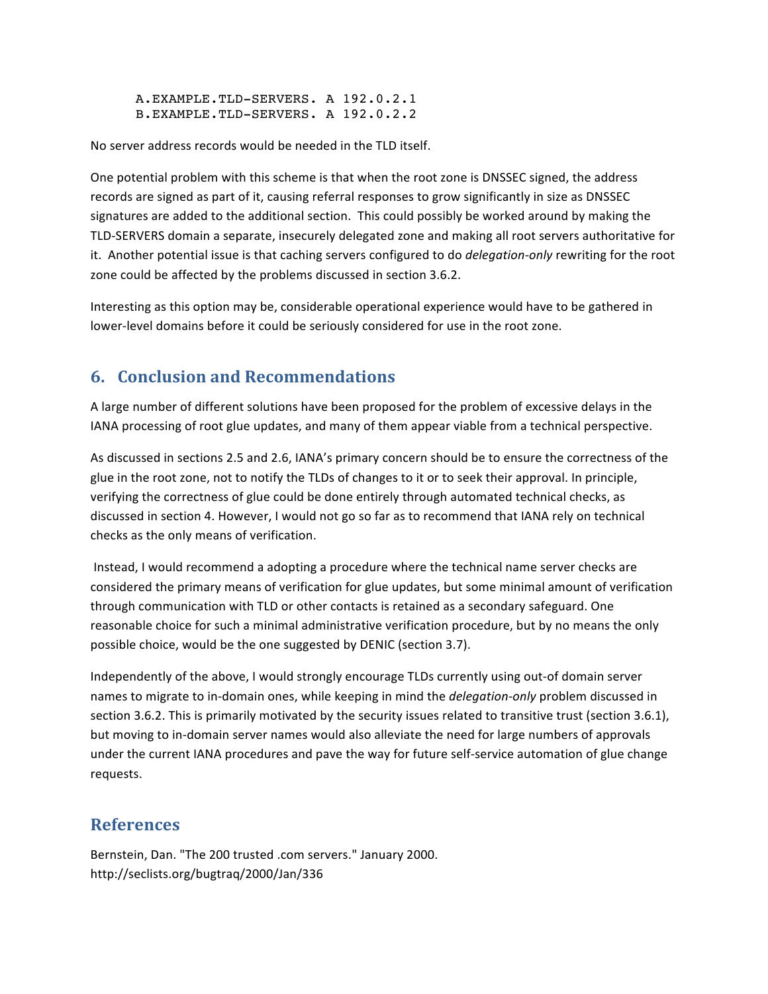A.EXAMPLE.TLD-SERVERS. A 192.0.2.1 B.EXAMPLE.TLD-SERVERS. A 192.0.2.2

No server address records would be needed in the TLD itself.

One potential problem with this scheme is that when the root zone is DNSSEC signed, the address records are signed as part of it, causing referral responses to grow significantly in size as DNSSEC signatures are added to the additional section. This could possibly be worked around by making the TLD-SERVERS domain a separate, insecurely delegated zone and making all root servers authoritative for it. Another potential issue is that caching servers configured to do delegation-only rewriting for the root zone could be affected by the problems discussed in section 3.6.2.

Interesting as this option may be, considerable operational experience would have to be gathered in lower-level domains before it could be seriously considered for use in the root zone.

# 6. Conclusion and Recommendations

A large number of different solutions have been proposed for the problem of excessive delays in the IANA processing of root glue updates, and many of them appear viable from a technical perspective.

As discussed in sections 2.5 and 2.6, IANA's primary concern should be to ensure the correctness of the glue in the root zone, not to notify the TLDs of changes to it or to seek their approval. In principle, verifying the correctness of glue could be done entirely through automated technical checks, as discussed in section 4. However, I would not go so far as to recommend that IANA rely on technical checks as the only means of verification.

Instead, I would recommend a adopting a procedure where the technical name server checks are considered the primary means of verification for glue updates, but some minimal amount of verification through communication with TLD or other contacts is retained as a secondary safeguard. One reasonable choice for such a minimal administrative verification procedure, but by no means the only possible choice, would be the one suggested by DENIC (section 3.7).

Independently of the above, I would strongly encourage TLDs currently using out-of domain server names to migrate to in-domain ones, while keeping in mind the delegation-only problem discussed in section 3.6.2. This is primarily motivated by the security issues related to transitive trust (section 3.6.1), but moving to in-domain server names would also alleviate the need for large numbers of approvals under the current IANA procedures and pave the way for future self-service automation of glue change requests.

### **References**

Bernstein, Dan. "The 200 trusted .com servers." January 2000. http://seclists.org/bugtraq/2000/Jan/336